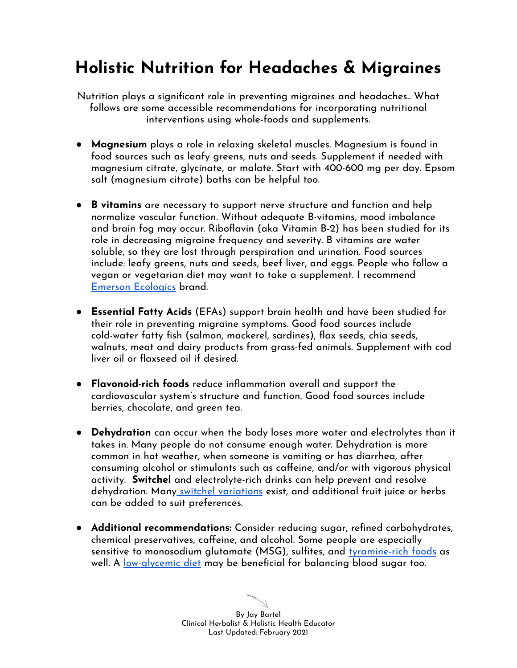# **Holistic Nutrition for Headaches & Migraines**

Nutrition plays a significant role in preventing migraines and headaches.. What follows are some accessible recommendations for incorporating nutritional interventions using whole-foods and supplements.

- **Magnesium** plays a role in relaxing skeletal muscles. Magnesium is found in food sources such as leafy greens, nuts and seeds. Supplement if needed with magnesium citrate, glycinate, or malate. Start with 400-600 mg per day. Epsom salt (magnesium citrate) baths can be helpful too.
- **B vitamins** are necessary to support nerve structure and function and help normalize vascular function. Without adequate B-vitamins, mood imbalance and brain fog may occur. Riboflavin (aka Vitamin B-2) has been studied for its role in decreasing migraine frequency and severity. B vitamins are water soluble, so they are lost through perspiration and urination. Food sources include: leafy greens, nuts and seeds, beef liver, and eggs. People who follow a vegan or vegetarian diet may want to take a supplement. I recommend Emerson [Ecologics](https://www.emersonecologics.com/products/detail/b-complex/b-complex-liquid/1274/BCL1) brand.
- **Essential Fatty Acids** (EFAs) support brain health and have been studied for their role in preventing migraine symptoms. Good food sources include cold-water fatty fish (salmon, mackerel, sardines), flax seeds, chia seeds, walnuts, meat and dairy products from grass-fed animals. Supplement with cod liver oil or flaxseed oil if desired.
- **Flavonoid-rich foods** reduce inflammation overall and support the cardiovascular system's structure and function. Good food sources include berries, chocolate, and green tea.
- **● Dehydration** can occur when the body loses more water and electrolytes than it takes in. Many people do not consume enough water. Dehydration is more common in hot weather, when someone is vomiting or has diarrhea, after consuming alcohol or stimulants such as caffeine, and/or with vigorous physical activity. **Switchel** and electrolyte-rich drinks can help prevent and resolve dehydration. Many switchel [variations](https://www.ruralsprout.com/switchel/) exist, and additional fruit juice or herbs can be added to suit preferences.
- **Additional recommendations:** Consider reducing sugar, refined carbohydrates, chemical preservatives, caffeine, and alcohol. Some people are especially sensitive to monosodium glutamate (MSG), sulfites, and [tyramine-rich](https://www.webmd.com/migraines-headaches/tyramine-and-migraines) foods as well. A [low-glycemic](https://www.healthline.com/nutrition/low-glycemic-diet) diet may be beneficial for balancing blood sugar too.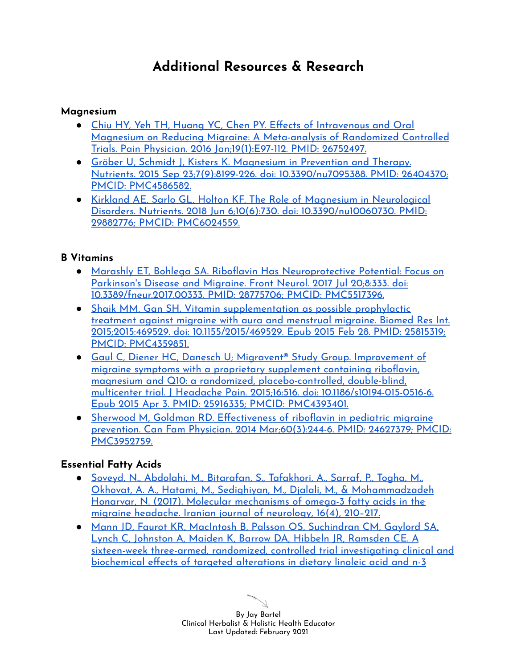## **Additional Resources & Research**

#### **Magnesium**

- Chiu HY, Yeh TH, Huang YC, Chen PY. Effects of [Intravenous](https://pubmed.ncbi.nlm.nih.gov/26752497/) and Oral Magnesium on Reducing Migraine: A [Meta-analysis](https://pubmed.ncbi.nlm.nih.gov/26752497/) of Randomized Controlled Trials. Pain Physician. 2016 [Jan;19\(1\):E97-112.](https://pubmed.ncbi.nlm.nih.gov/26752497/) PMID: 26752497.
- Gröber U, Schmidt J, Kisters K. [Magnesium](https://pubmed.ncbi.nlm.nih.gov/26404370/) in Prevention and Therapy. Nutrients. 2015 Sep 23;7(9):8199-226. doi: [10.3390/nu7095388.](https://pubmed.ncbi.nlm.nih.gov/26404370/) PMID: 26404370; PMCID: [PMC4586582.](https://pubmed.ncbi.nlm.nih.gov/26404370/)
- Kirkland AE, Sarlo GL, Holton KF. The Role of Magnesium in [Neurological](https://pubmed.ncbi.nlm.nih.gov/29882776/) Disorders. Nutrients. 2018 Jun 6;10(6):730. doi: [10.3390/nu10060730.](https://pubmed.ncbi.nlm.nih.gov/29882776/) PMID: 29882776; PMCID: [PMC6024559.](https://pubmed.ncbi.nlm.nih.gov/29882776/)

#### **B Vitamins**

- Marashly ET, Bohlega SA. Riboflavin Has [Neuroprotective](https://pubmed.ncbi.nlm.nih.gov/28775706/) Potential: Focus on [Parkinson's](https://pubmed.ncbi.nlm.nih.gov/28775706/) Disease and Migraine. Front Neurol. 2017 Jul 20;8:333. doi: [10.3389/fneur.2017.00333.](https://pubmed.ncbi.nlm.nih.gov/28775706/) PMID: 28775706; PMCID: PMC5517396.
- Shaik MM, Gan SH. Vitamin [supplementation](https://pubmed.ncbi.nlm.nih.gov/25815319/) as possible prophylactic [treatment](https://pubmed.ncbi.nlm.nih.gov/25815319/) against migraine with aura and menstrual migraine. Biomed Res Int. 2015;2015:469529. doi: [10.1155/2015/469529.](https://pubmed.ncbi.nlm.nih.gov/25815319/) Epub 2015 Feb 28. PMID: 25815319; PMCID: [PMC4359851.](https://pubmed.ncbi.nlm.nih.gov/25815319/)
- Gaul C, Diener HC, Danesch U; Migravent® Study Group. [Improvement](https://pubmed.ncbi.nlm.nih.gov/25916335/) of migraine symptoms with a proprietary [supplement](https://pubmed.ncbi.nlm.nih.gov/25916335/) containing riboflavin, magnesium and Q10: a randomized, [placebo-controlled,](https://pubmed.ncbi.nlm.nih.gov/25916335/) double-blind, multicenter trial. J Headache Pain. 2015;16:516. doi: [10.1186/s10194-015-0516-6.](https://pubmed.ncbi.nlm.nih.gov/25916335/) Epub 2015 Apr 3. PMID: 25916335; PMCID: [PMC4393401.](https://pubmed.ncbi.nlm.nih.gov/25916335/)
- Sherwood M, Goldman RD. [Effectiveness](https://pubmed.ncbi.nlm.nih.gov/24627379/) of riboflavin in pediatric migraine prevention. Can Fam Physician. 2014 [Mar;60\(3\):244-6.](https://pubmed.ncbi.nlm.nih.gov/24627379/) PMID: 24627379; PMCID: [PMC3952759.](https://pubmed.ncbi.nlm.nih.gov/24627379/)

### **Essential Fatty Acids**

- Soveyd, N., Abdolahi, M., [Bitarafan,](https://www.ncbi.nlm.nih.gov/pmc/articles/PMC5937007/) S., Tafakhori, A., Sarraf, P., Togha, M., Okhovat, A. A., Hatami, M., Sedighiyan, M., Djalali, M., & [Mohammadzadeh](https://www.ncbi.nlm.nih.gov/pmc/articles/PMC5937007/) Honarvar, N. (2017). Molecular [mechanisms](https://www.ncbi.nlm.nih.gov/pmc/articles/PMC5937007/) of omega-3 fatty acids in the migraine headache. Iranian journal of [neurology,](https://www.ncbi.nlm.nih.gov/pmc/articles/PMC5937007/) 16(4), 210–217.
- Mann JD, Faurot KR, MacIntosh B, Palsson OS, [Suchindran](https://pubmed.ncbi.nlm.nih.gov/29413360/) CM, Gaylord SA, Lynch C, Johnston A, Maiden K, Barrow DA, Hibbeln JR, [Ramsden](https://pubmed.ncbi.nlm.nih.gov/29413360/) CE. A sixteen-week three-armed, randomized, controlled trial [investigating](https://pubmed.ncbi.nlm.nih.gov/29413360/) clinical and [biochemical](https://pubmed.ncbi.nlm.nih.gov/29413360/) effects of targeted alterations in dietary linoleic acid and n-3

By Jay Bartel Clinical Herbalist & Holistic Health Educator Last Updated: February 2021